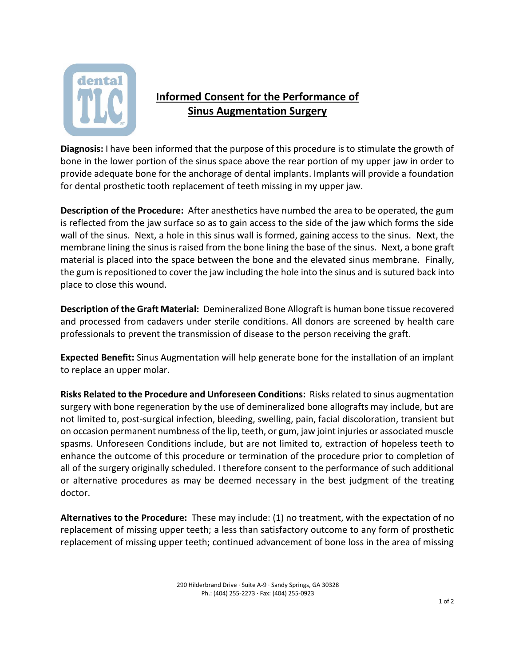

## **Informed Consent for the Performance of Sinus Augmentation Surgery**

**Diagnosis:** I have been informed that the purpose of this procedure is to stimulate the growth of bone in the lower portion of the sinus space above the rear portion of my upper jaw in order to provide adequate bone for the anchorage of dental implants. Implants will provide a foundation for dental prosthetic tooth replacement of teeth missing in my upper jaw.

**Description of the Procedure:** After anesthetics have numbed the area to be operated, the gum is reflected from the jaw surface so as to gain access to the side of the jaw which forms the side wall of the sinus. Next, a hole in this sinus wall is formed, gaining access to the sinus. Next, the membrane lining the sinus is raised from the bone lining the base of the sinus. Next, a bone graft material is placed into the space between the bone and the elevated sinus membrane. Finally, the gum is repositioned to cover the jaw including the hole into the sinus and is sutured back into place to close this wound.

**Description of the Graft Material:** Demineralized Bone Allograft is human bone tissue recovered and processed from cadavers under sterile conditions. All donors are screened by health care professionals to prevent the transmission of disease to the person receiving the graft.

**Expected Benefit:** Sinus Augmentation will help generate bone for the installation of an implant to replace an upper molar.

**Risks Related to the Procedure and Unforeseen Conditions:** Risks related to sinus augmentation surgery with bone regeneration by the use of demineralized bone allografts may include, but are not limited to, post-surgical infection, bleeding, swelling, pain, facial discoloration, transient but on occasion permanent numbness of the lip, teeth, or gum, jaw joint injuries or associated muscle spasms. Unforeseen Conditions include, but are not limited to, extraction of hopeless teeth to enhance the outcome of this procedure or termination of the procedure prior to completion of all of the surgery originally scheduled. I therefore consent to the performance of such additional or alternative procedures as may be deemed necessary in the best judgment of the treating doctor.

**Alternatives to the Procedure:** These may include: (1) no treatment, with the expectation of no replacement of missing upper teeth; a less than satisfactory outcome to any form of prosthetic replacement of missing upper teeth; continued advancement of bone loss in the area of missing